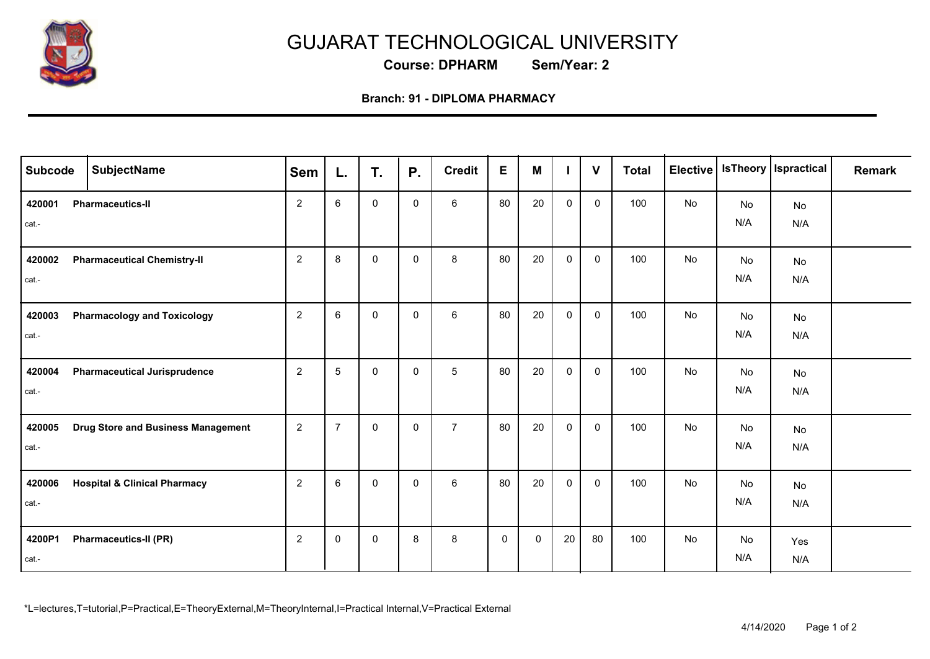

## GUJARAT TECHNOLOGICAL UNIVERSITY

**Course: DPHARM Sem/Year: 2**

## **Branch: 91 - DIPLOMA PHARMACY**

| <b>Subcode</b>  | <b>SubjectName</b>                        | <b>Sem</b>     | L.              | T.           | <b>P.</b>   | <b>Credit</b>  | $\mathsf E$ | M           |              | $\mathbf{V}$ | <b>Total</b> | Elective |           | <b>IsTheory   Ispractical</b> | <b>Remark</b> |
|-----------------|-------------------------------------------|----------------|-----------------|--------------|-------------|----------------|-------------|-------------|--------------|--------------|--------------|----------|-----------|-------------------------------|---------------|
| 420001<br>cat.- | <b>Pharmaceutics-II</b>                   | $\overline{2}$ | $6\phantom{1}6$ | $\mathbf{0}$ | $\mathbf 0$ | 6              | 80          | 20          | $\Omega$     | $\mathbf 0$  | 100          | No       | No<br>N/A | No<br>N/A                     |               |
| 420002<br>cat.- | <b>Pharmaceutical Chemistry-II</b>        | $\overline{2}$ | 8               | $\mathbf{0}$ | $\mathbf 0$ | 8              | 80          | 20          | $\mathbf{0}$ | $\mathbf 0$  | 100          | No       | No<br>N/A | No<br>N/A                     |               |
| 420003<br>cat.- | <b>Pharmacology and Toxicology</b>        | $\overline{2}$ | 6               | $\mathbf{0}$ | $\mathbf 0$ | 6              | 80          | 20          | $\Omega$     | $\mathbf 0$  | 100          | No       | No<br>N/A | No<br>N/A                     |               |
| 420004<br>cat.- | <b>Pharmaceutical Jurisprudence</b>       | $\overline{2}$ | $\sqrt{5}$      | $\mathbf{0}$ | $\mathbf 0$ | $\sqrt{5}$     | 80          | 20          | $\mathbf{0}$ | $\mathbf 0$  | 100          | No       | No<br>N/A | No<br>N/A                     |               |
| 420005<br>cat.- | <b>Drug Store and Business Management</b> | $\overline{2}$ | $\overline{7}$  | $\mathbf 0$  | $\mathbf 0$ | $\overline{7}$ | 80          | 20          | $\mathbf 0$  | $\mathbf 0$  | 100          | No       | No<br>N/A | No<br>N/A                     |               |
| 420006<br>cat.- | <b>Hospital &amp; Clinical Pharmacy</b>   | $\overline{2}$ | $6\phantom{1}6$ | $\mathbf{0}$ | $\mathbf 0$ | $\,6\,$        | 80          | 20          | $\mathbf 0$  | $\mathbf 0$  | 100          | No       | No<br>N/A | No<br>N/A                     |               |
| 4200P1<br>cat.- | <b>Pharmaceutics-II (PR)</b>              | $\overline{2}$ | $\mathbf 0$     | $\mathbf 0$  | 8           | 8              | $\mathbf 0$ | $\mathbf 0$ | 20           | 80           | 100          | No       | No<br>N/A | Yes<br>N/A                    |               |

\*L=lectures,T=tutorial,P=Practical,E=TheoryExternal,M=TheoryInternal,I=Practical Internal,V=Practical External